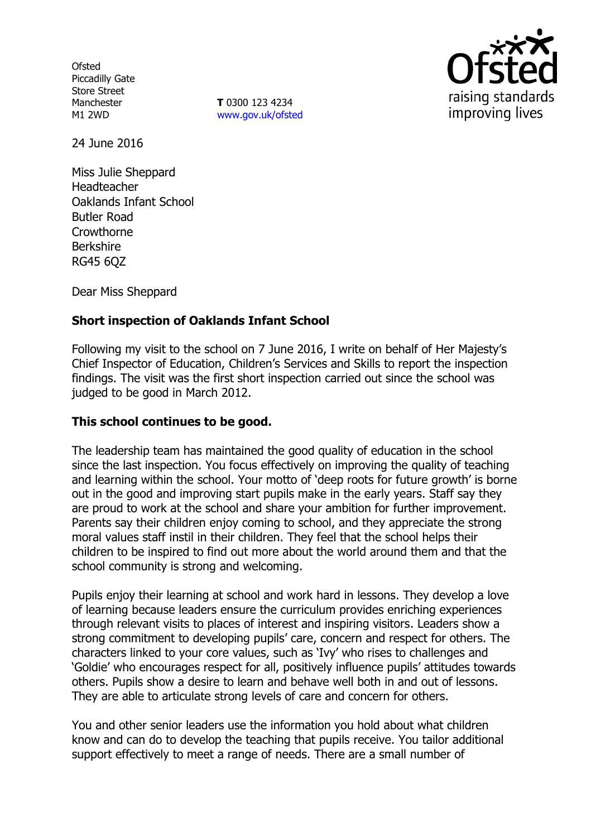**Ofsted** Piccadilly Gate Store Street **Manchester** M1 2WD

**T** 0300 123 4234 www.gov.uk/ofsted



24 June 2016

Miss Julie Sheppard Headteacher Oaklands Infant School Butler Road Crowthorne Berkshire RG45 6QZ

Dear Miss Sheppard

# **Short inspection of Oaklands Infant School**

Following my visit to the school on 7 June 2016, I write on behalf of Her Majesty's Chief Inspector of Education, Children's Services and Skills to report the inspection findings. The visit was the first short inspection carried out since the school was judged to be good in March 2012.

### **This school continues to be good.**

The leadership team has maintained the good quality of education in the school since the last inspection. You focus effectively on improving the quality of teaching and learning within the school. Your motto of 'deep roots for future growth' is borne out in the good and improving start pupils make in the early years. Staff say they are proud to work at the school and share your ambition for further improvement. Parents say their children enjoy coming to school, and they appreciate the strong moral values staff instil in their children. They feel that the school helps their children to be inspired to find out more about the world around them and that the school community is strong and welcoming.

Pupils enjoy their learning at school and work hard in lessons. They develop a love of learning because leaders ensure the curriculum provides enriching experiences through relevant visits to places of interest and inspiring visitors. Leaders show a strong commitment to developing pupils' care, concern and respect for others. The characters linked to your core values, such as 'Ivy' who rises to challenges and 'Goldie' who encourages respect for all, positively influence pupils' attitudes towards others. Pupils show a desire to learn and behave well both in and out of lessons. They are able to articulate strong levels of care and concern for others.

You and other senior leaders use the information you hold about what children know and can do to develop the teaching that pupils receive. You tailor additional support effectively to meet a range of needs. There are a small number of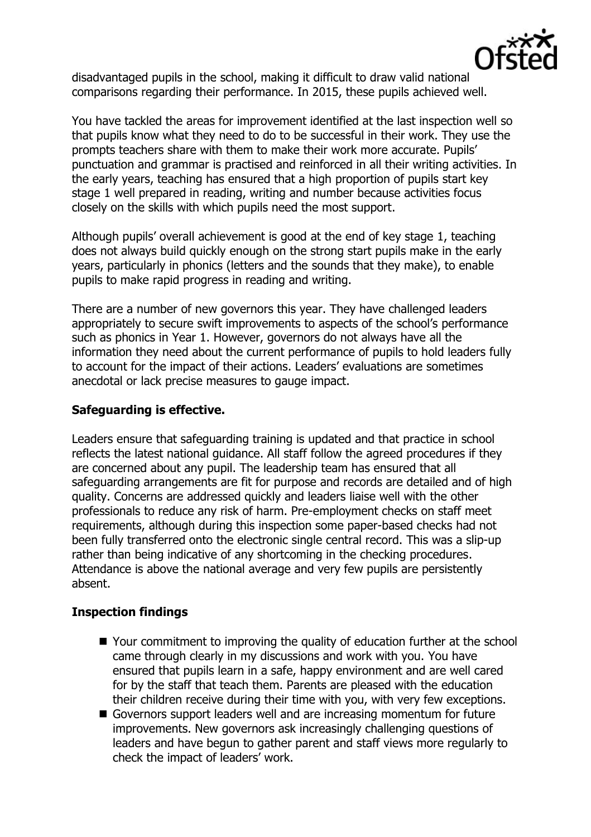

disadvantaged pupils in the school, making it difficult to draw valid national comparisons regarding their performance. In 2015, these pupils achieved well.

You have tackled the areas for improvement identified at the last inspection well so that pupils know what they need to do to be successful in their work. They use the prompts teachers share with them to make their work more accurate. Pupils' punctuation and grammar is practised and reinforced in all their writing activities. In the early years, teaching has ensured that a high proportion of pupils start key stage 1 well prepared in reading, writing and number because activities focus closely on the skills with which pupils need the most support.

Although pupils' overall achievement is good at the end of key stage 1, teaching does not always build quickly enough on the strong start pupils make in the early years, particularly in phonics (letters and the sounds that they make), to enable pupils to make rapid progress in reading and writing.

There are a number of new governors this year. They have challenged leaders appropriately to secure swift improvements to aspects of the school's performance such as phonics in Year 1. However, governors do not always have all the information they need about the current performance of pupils to hold leaders fully to account for the impact of their actions. Leaders' evaluations are sometimes anecdotal or lack precise measures to gauge impact.

## **Safeguarding is effective.**

Leaders ensure that safeguarding training is updated and that practice in school reflects the latest national guidance. All staff follow the agreed procedures if they are concerned about any pupil. The leadership team has ensured that all safeguarding arrangements are fit for purpose and records are detailed and of high quality. Concerns are addressed quickly and leaders liaise well with the other professionals to reduce any risk of harm. Pre-employment checks on staff meet requirements, although during this inspection some paper-based checks had not been fully transferred onto the electronic single central record. This was a slip-up rather than being indicative of any shortcoming in the checking procedures. Attendance is above the national average and very few pupils are persistently absent.

# **Inspection findings**

- Your commitment to improving the quality of education further at the school came through clearly in my discussions and work with you. You have ensured that pupils learn in a safe, happy environment and are well cared for by the staff that teach them. Parents are pleased with the education their children receive during their time with you, with very few exceptions.
- Governors support leaders well and are increasing momentum for future improvements. New governors ask increasingly challenging questions of leaders and have begun to gather parent and staff views more regularly to check the impact of leaders' work.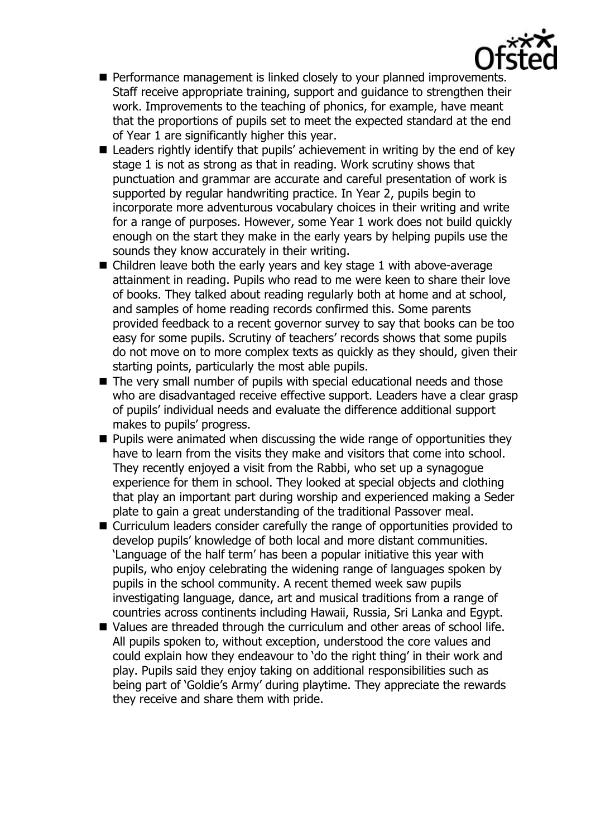

- **Performance management is linked closely to your planned improvements.** Staff receive appropriate training, support and guidance to strengthen their work. Improvements to the teaching of phonics, for example, have meant that the proportions of pupils set to meet the expected standard at the end of Year 1 are significantly higher this year.
- Leaders rightly identify that pupils' achievement in writing by the end of key stage 1 is not as strong as that in reading. Work scrutiny shows that punctuation and grammar are accurate and careful presentation of work is supported by regular handwriting practice. In Year 2, pupils begin to incorporate more adventurous vocabulary choices in their writing and write for a range of purposes. However, some Year 1 work does not build quickly enough on the start they make in the early years by helping pupils use the sounds they know accurately in their writing.
- Children leave both the early years and key stage 1 with above-average attainment in reading. Pupils who read to me were keen to share their love of books. They talked about reading regularly both at home and at school, and samples of home reading records confirmed this. Some parents provided feedback to a recent governor survey to say that books can be too easy for some pupils. Scrutiny of teachers' records shows that some pupils do not move on to more complex texts as quickly as they should, given their starting points, particularly the most able pupils.
- The very small number of pupils with special educational needs and those who are disadvantaged receive effective support. Leaders have a clear grasp of pupils' individual needs and evaluate the difference additional support makes to pupils' progress.
- $\blacksquare$  Pupils were animated when discussing the wide range of opportunities they have to learn from the visits they make and visitors that come into school. They recently enjoyed a visit from the Rabbi, who set up a synagogue experience for them in school. They looked at special objects and clothing that play an important part during worship and experienced making a Seder plate to gain a great understanding of the traditional Passover meal.
- Curriculum leaders consider carefully the range of opportunities provided to develop pupils' knowledge of both local and more distant communities. 'Language of the half term' has been a popular initiative this year with pupils, who enjoy celebrating the widening range of languages spoken by pupils in the school community. A recent themed week saw pupils investigating language, dance, art and musical traditions from a range of countries across continents including Hawaii, Russia, Sri Lanka and Egypt.
- Values are threaded through the curriculum and other areas of school life. All pupils spoken to, without exception, understood the core values and could explain how they endeavour to 'do the right thing' in their work and play. Pupils said they enjoy taking on additional responsibilities such as being part of 'Goldie's Army' during playtime. They appreciate the rewards they receive and share them with pride.